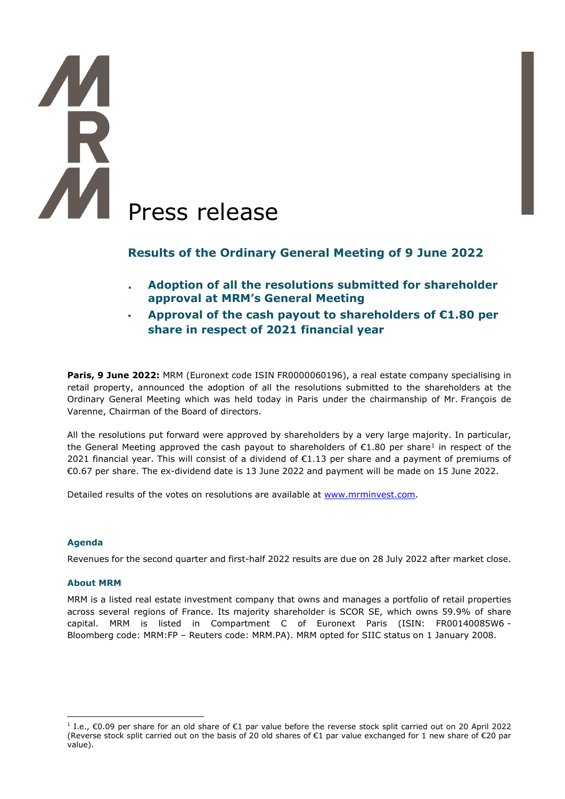# **TA**<br>R **AM** Press release

# **Results of the Ordinary General Meeting of 9 June 2022**

- **. Adoption of all the resolutions submitted for shareholder approval at MRM's General Meeting**
- **Approval of the cash payout to shareholders of €1.80 per share in respect of 2021 financial year**

**Paris, 9 June 2022:** MRM (Euronext code ISIN FR0000060196), a real estate company specialising in retail property, announced the adoption of all the resolutions submitted to the shareholders at the Ordinary General Meeting which was held today in Paris under the chairmanship of Mr. François de Varenne, Chairman of the Board of directors.

All the resolutions put forward were approved by shareholders by a very large majority. In particular, the General Meeting approved the cash payout to shareholders of  $\epsilon$ [1](#page-0-0).80 per share<sup>1</sup> in respect of the 2021 financial year. This will consist of a dividend of  $\epsilon$ 1.13 per share and a payment of premiums of €0.67 per share. The ex-dividend date is 13 June 2022 and payment will be made on 15 June 2022.

Detailed results of the votes on resolutions are available at [www.mrminvest.com.](http://www.mrminvest.com/)

### **Agenda**

Revenues for the second quarter and first-half 2022 results are due on 28 July 2022 after market close.

### **About MRM**

MRM is a listed real estate investment company that owns and manages a portfolio of retail properties across several regions of France. Its majority shareholder is SCOR SE, which owns 59.9% of share capital. MRM is listed in Compartment C of Euronext Paris (ISIN: FR00140085W6 - Bloomberg code: MRM:FP – Reuters code: MRM.PA). MRM opted for SIIC status on 1 January 2008.

<span id="page-0-0"></span><sup>1</sup> I.e., €0.09 per share for an old share of €1 par value before the reverse stock split carried out on 20 April 2022 (Reverse stock split carried out on the basis of 20 old shares of €1 par value exchanged for 1 new share of €20 par value).